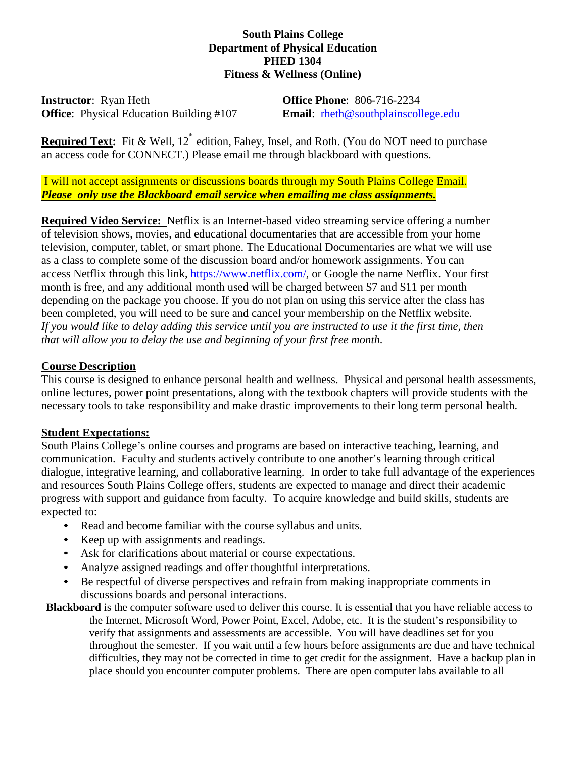## **South Plains College Department of Physical Education PHED 1304 Fitness & Wellness (Online)**

**Instructor**: Ryan Heth **Office Phone**: 806-716-2234 **Office**: Physical Education Building #107 **Email**: rheth@southplainscollege.edu

**Required Text:** Fit & Well, 12<sup>th</sup> edition, Fahey, Insel, and Roth. (You do NOT need to purchase an access code for CONNECT.) Please email me through blackboard with questions.

I will not accept assignments or discussions boards through my South Plains College Email. *Please only use the Blackboard email service when emailing me class assignments.*

**Required Video Service:** Netflix is an Internet-based video streaming service offering a number of television shows, movies, and educational documentaries that are accessible from your home television, computer, tablet, or smart phone. The Educational Documentaries are what we will use as a class to complete some of the discussion board and/or homework assignments. You can access Netflix through this link, [https://www.netflix.com/,](https://www.netflix.com/) or Google the name Netflix. Your first month is free, and any additional month used will be charged between \$7 and \$11 per month depending on the package you choose. If you do not plan on using this service after the class has been completed, you will need to be sure and cancel your membership on the Netflix website. *If you would like to delay adding this service until you are instructed to use it the first time, then that will allow you to delay the use and beginning of your first free month.* 

## **Course Description**

This course is designed to enhance personal health and wellness. Physical and personal health assessments, online lectures, power point presentations, along with the textbook chapters will provide students with the necessary tools to take responsibility and make drastic improvements to their long term personal health.

#### **Student Expectations:**

South Plains College's online courses and programs are based on interactive teaching, learning, and communication. Faculty and students actively contribute to one another's learning through critical dialogue, integrative learning, and collaborative learning. In order to take full advantage of the experiences and resources South Plains College offers, students are expected to manage and direct their academic progress with support and guidance from faculty. To acquire knowledge and build skills, students are expected to:

- Read and become familiar with the course syllabus and units.
- Keep up with assignments and readings.
- Ask for clarifications about material or course expectations.
- Analyze assigned readings and offer thoughtful interpretations.
- Be respectful of diverse perspectives and refrain from making inappropriate comments in discussions boards and personal interactions.

**Blackboard** is the computer software used to deliver this course. It is essential that you have reliable access to the Internet, Microsoft Word, Power Point, Excel, Adobe, etc. It is the student's responsibility to verify that assignments and assessments are accessible. You will have deadlines set for you throughout the semester. If you wait until a few hours before assignments are due and have technical difficulties, they may not be corrected in time to get credit for the assignment. Have a backup plan in place should you encounter computer problems. There are open computer labs available to all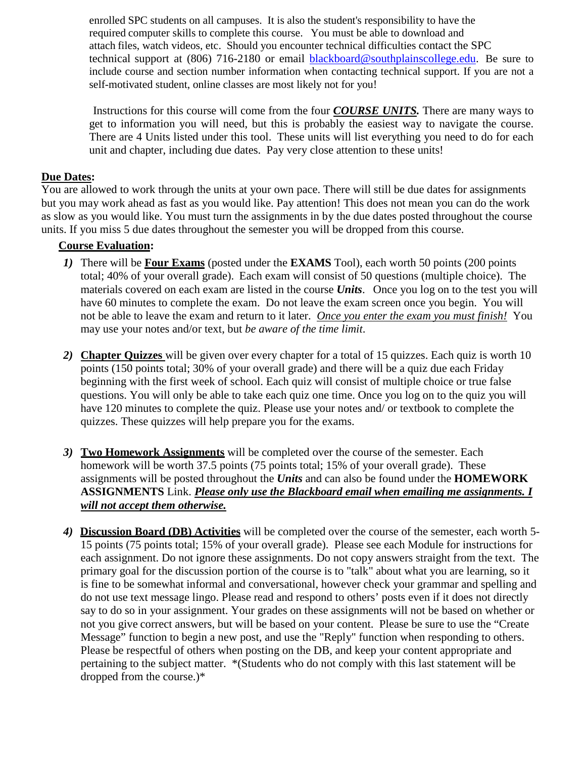enrolled SPC students on all campuses. It is also the student's responsibility to have the required computer skills to complete this course. You must be able to download and attach files, watch videos, etc. Should you encounter technical difficulties contact the SPC technical support at (806) 716-2180 or email [blackboard@southplainscollege.edu.](mailto:blackboard@southplainscollege.edu) Be sure to include course and section number information when contacting technical support. If you are not a self-motivated student, online classes are most likely not for you!

Instructions for this course will come from the four *COURSE UNITS.* There are many ways to get to information you will need, but this is probably the easiest way to navigate the course. There are 4 Units listed under this tool. These units will list everything you need to do for each unit and chapter, including due dates. Pay very close attention to these units!

## **Due Dates:**

You are allowed to work through the units at your own pace. There will still be due dates for assignments but you may work ahead as fast as you would like. Pay attention! This does not mean you can do the work as slow as you would like. You must turn the assignments in by the due dates posted throughout the course units. If you miss 5 due dates throughout the semester you will be dropped from this course.

## **Course Evaluation:**

- *1)* There will be **Four Exams** (posted under the **EXAMS** Tool), each worth 50 points (200 points total; 40% of your overall grade). Each exam will consist of 50 questions (multiple choice). The materials covered on each exam are listed in the course *Units*. Once you log on to the test you will have 60 minutes to complete the exam. Do not leave the exam screen once you begin. You will not be able to leave the exam and return to it later. *Once you enter the exam you must finish!* You may use your notes and/or text, but *be aware of the time limit*.
- *2)* **Chapter Quizzes** will be given over every chapter for a total of 15 quizzes. Each quiz is worth 10 points (150 points total; 30% of your overall grade) and there will be a quiz due each Friday beginning with the first week of school. Each quiz will consist of multiple choice or true false questions. You will only be able to take each quiz one time. Once you log on to the quiz you will have 120 minutes to complete the quiz. Please use your notes and/ or textbook to complete the quizzes. These quizzes will help prepare you for the exams.
- *3)* **Two Homework Assignments** will be completed over the course of the semester. Each homework will be worth 37.5 points (75 points total; 15% of your overall grade). These assignments will be posted throughout the *Units* and can also be found under the **HOMEWORK ASSIGNMENTS** Link. *Please only use the Blackboard email when emailing me assignments. I will not accept them otherwise.*
- *4)* **Discussion Board (DB) Activities** will be completed over the course of the semester, each worth 5- 15 points (75 points total; 15% of your overall grade). Please see each Module for instructions for each assignment. Do not ignore these assignments. Do not copy answers straight from the text. The primary goal for the discussion portion of the course is to "talk" about what you are learning, so it is fine to be somewhat informal and conversational, however check your grammar and spelling and do not use text message lingo. Please read and respond to others' posts even if it does not directly say to do so in your assignment. Your grades on these assignments will not be based on whether or not you give correct answers, but will be based on your content. Please be sure to use the "Create Message" function to begin a new post, and use the "Reply" function when responding to others. Please be respectful of others when posting on the DB, and keep your content appropriate and pertaining to the subject matter. \*(Students who do not comply with this last statement will be dropped from the course.)\*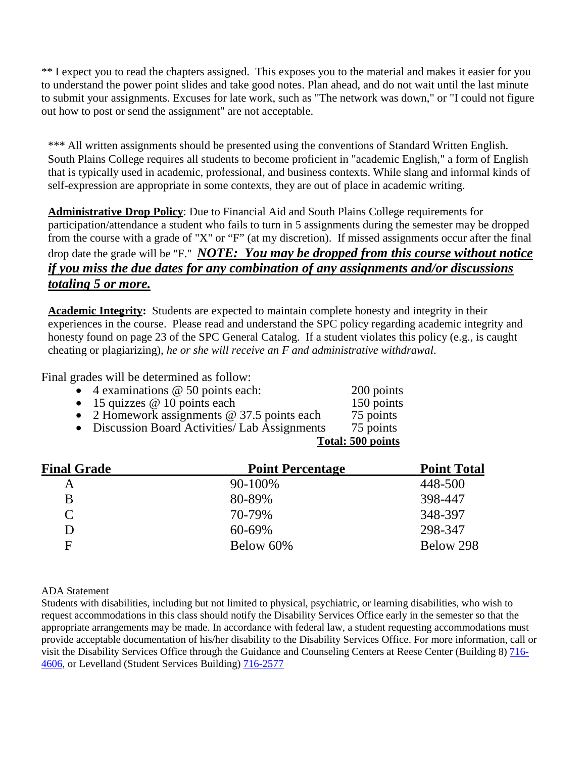\*\* I expect you to read the chapters assigned. This exposes you to the material and makes it easier for you to understand the power point slides and take good notes. Plan ahead, and do not wait until the last minute to submit your assignments. Excuses for late work, such as "The network was down," or "I could not figure out how to post or send the assignment" are not acceptable.

\*\*\* All written assignments should be presented using the conventions of Standard Written English. South Plains College requires all students to become proficient in "academic English," a form of English that is typically used in academic, professional, and business contexts. While slang and informal kinds of self-expression are appropriate in some contexts, they are out of place in academic writing.

**Administrative Drop Policy**: Due to Financial Aid and South Plains College requirements for participation/attendance a student who fails to turn in 5 assignments during the semester may be dropped from the course with a grade of "X" or "F" (at my discretion). If missed assignments occur after the final drop date the grade will be "F." *NOTE: You may be dropped from this course without notice if you miss the due dates for any combination of any assignments and/or discussions totaling 5 or more.*

**Academic Integrity:** Students are expected to maintain complete honesty and integrity in their experiences in the course. Please read and understand the SPC policy regarding academic integrity and honesty found on page 23 of the SPC General Catalog. If a student violates this policy (e.g., is caught cheating or plagiarizing), *he or she will receive an F and administrative withdrawal*.

Final grades will be determined as follow:

| • 4 examinations $@$ 50 points each:                      | 200 points   |
|-----------------------------------------------------------|--------------|
| $\sim$ 15 $\sim$ $\sim$ $\sim$ 10 $\sim$ $\sim$ $\sim$ 1. | $1.50 - 1.4$ |

- 15 quizzes  $\omega$  10 points each 150 points
- 2 Homework assignments @ 37.5 points each 75 points<br>• Discussion Board Activities/ Lab Assignments 75 points • Discussion Board Activities/ Lab Assignments
- **Total: 500 points**

| <b>Final Grade</b> | <b>Point Percentage</b> | <b>Point Total</b> |
|--------------------|-------------------------|--------------------|
| Α                  | 90-100%                 | 448-500            |
| B                  | 80-89%                  | 398-447            |
| $\mathcal{C}$      | 70-79%                  | 348-397            |
| D                  | 60-69%                  | 298-347            |
| F                  | Below 60%               | Below 298          |

#### ADA Statement

Students with disabilities, including but not limited to physical, psychiatric, or learning disabilities, who wish to request accommodations in this class should notify the Disability Services Office early in the semester so that the appropriate arrangements may be made. In accordance with federal law, a student requesting accommodations must provide acceptable documentation of his/her disability to the Disability Services Office. For more information, call or visit the Disability Services Office through the Guidance and Counseling Centers at Reese Center (Building 8) [716-](tel:716-4606) [4606,](tel:716-4606) or Levelland (Student Services Building) [716-2577](tel:716-2577)